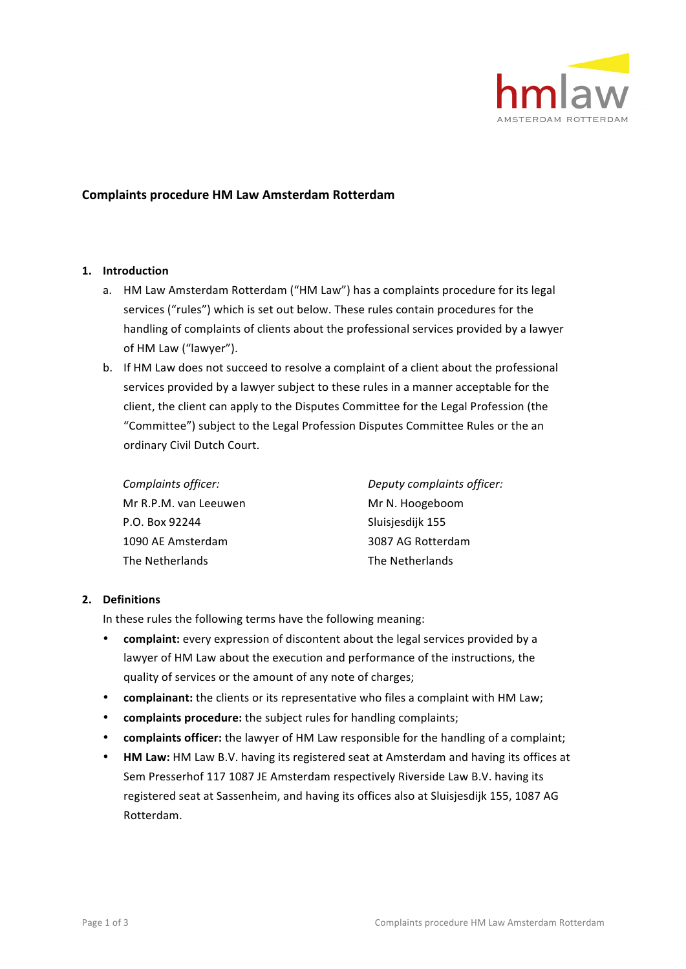

# **Complaints procedure HM Law Amsterdam Rotterdam**

## **1. Introduction**

- a. HM Law Amsterdam Rotterdam ("HM Law") has a complaints procedure for its legal services ("rules") which is set out below. These rules contain procedures for the handling of complaints of clients about the professional services provided by a lawyer of HM Law ("lawyer").
- b. If HM Law does not succeed to resolve a complaint of a client about the professional services provided by a lawyer subject to these rules in a manner acceptable for the client, the client can apply to the Disputes Committee for the Legal Profession (the "Committee") subject to the Legal Profession Disputes Committee Rules or the an ordinary Civil Dutch Court.

| Complaints officer:   | Deputy complaints officer: |
|-----------------------|----------------------------|
| Mr R.P.M. van Leeuwen | Mr N. Hoogeboom            |
| P.O. Box 92244        | Sluisjesdijk 155           |
| 1090 AE Amsterdam     | 3087 AG Rotterdam          |
| The Netherlands       | The Netherlands            |

#### **2. Definitions**

In these rules the following terms have the following meaning:

- **complaint:** every expression of discontent about the legal services provided by a lawyer of HM Law about the execution and performance of the instructions, the quality of services or the amount of any note of charges;
- **complainant:** the clients or its representative who files a complaint with HM Law;
- **complaints procedure:** the subject rules for handling complaints;
- **complaints officer:** the lawyer of HM Law responsible for the handling of a complaint;
- **HM Law:** HM Law B.V. having its registered seat at Amsterdam and having its offices at Sem Presserhof 117 1087 JE Amsterdam respectively Riverside Law B.V. having its registered seat at Sassenheim, and having its offices also at Sluisjesdijk 155, 1087 AG Rotterdam.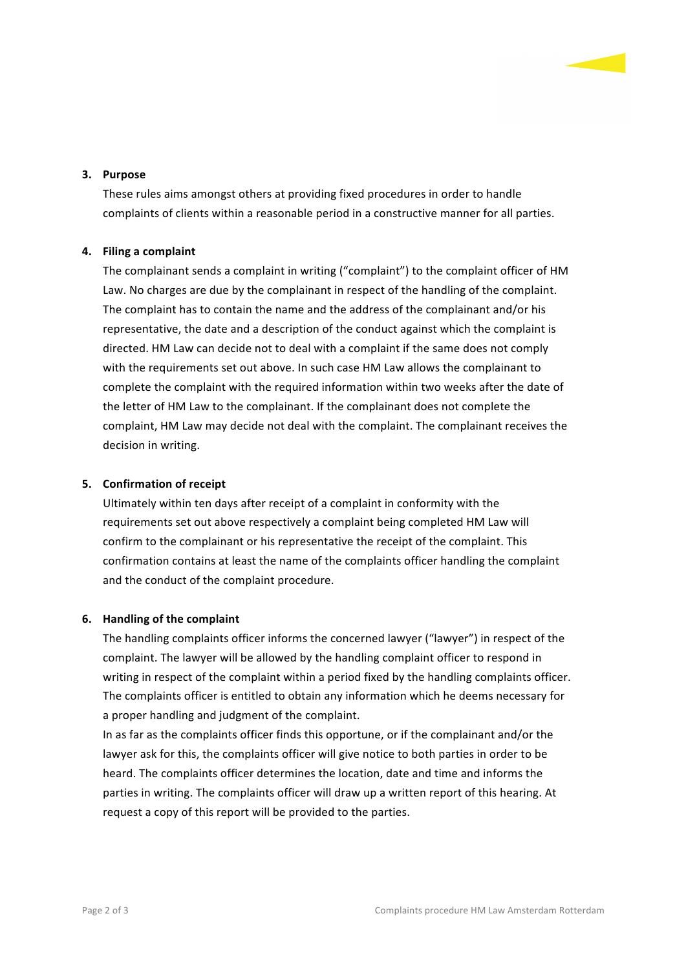#### **3. Purpose**

These rules aims amongst others at providing fixed procedures in order to handle complaints of clients within a reasonable period in a constructive manner for all parties.

## **4. Filing a complaint**

The complainant sends a complaint in writing ("complaint") to the complaint officer of HM Law. No charges are due by the complainant in respect of the handling of the complaint. The complaint has to contain the name and the address of the complainant and/or his representative, the date and a description of the conduct against which the complaint is directed. HM Law can decide not to deal with a complaint if the same does not comply with the requirements set out above. In such case HM Law allows the complainant to complete the complaint with the required information within two weeks after the date of the letter of HM Law to the complainant. If the complainant does not complete the complaint, HM Law may decide not deal with the complaint. The complainant receives the decision in writing.

#### **5. Confirmation of receipt**

Ultimately within ten days after receipt of a complaint in conformity with the requirements set out above respectively a complaint being completed HM Law will confirm to the complainant or his representative the receipt of the complaint. This confirmation contains at least the name of the complaints officer handling the complaint and the conduct of the complaint procedure.

#### **6.** Handling of the complaint

The handling complaints officer informs the concerned lawyer ("lawyer") in respect of the complaint. The lawyer will be allowed by the handling complaint officer to respond in writing in respect of the complaint within a period fixed by the handling complaints officer. The complaints officer is entitled to obtain any information which he deems necessary for a proper handling and judgment of the complaint.

In as far as the complaints officer finds this opportune, or if the complainant and/or the lawyer ask for this, the complaints officer will give notice to both parties in order to be heard. The complaints officer determines the location, date and time and informs the parties in writing. The complaints officer will draw up a written report of this hearing. At request a copy of this report will be provided to the parties.